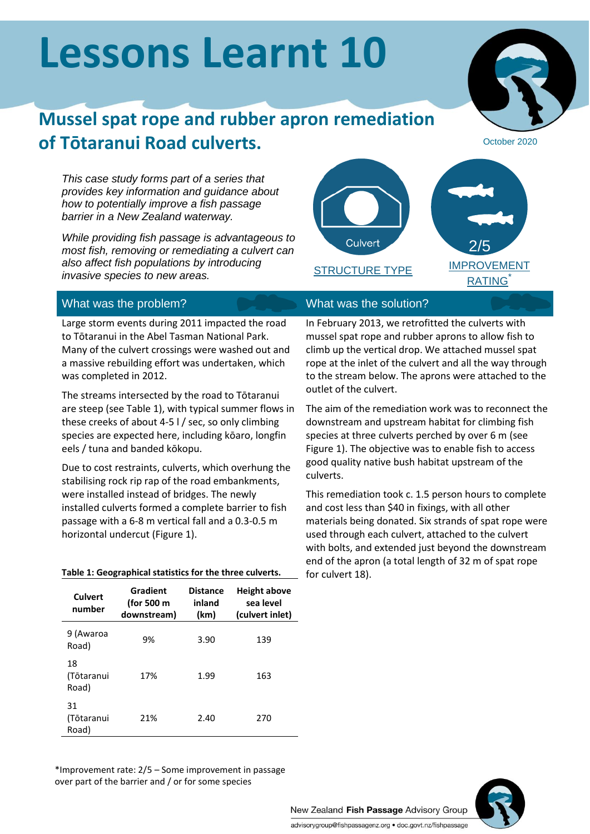# **Lessons Learnt 10**

# **Mussel spat rope and rubber apron remediation of Tōtaranui Road culverts.**

*This case study forms part of a series that provides key information and guidance about how to potentially improve a fish passage barrier in a New Zealand waterway.*

*While providing fish passage is advantageous to most fish, removing or remediating a culvert can also affect fish populations by introducing invasive species to new areas.*



# What was the problem? What was the solution?

Large storm events during 2011 impacted the road to Tōtaranui in the Abel Tasman National Park. Many of the culvert crossings were washed out and a massive rebuilding effort was undertaken, which was completed in 2012.

The streams intersected by the road to Tōtaranui are steep (see Table 1), with typical summer flows in these creeks of about 4-5 l / sec, so only climbing species are expected here, including kōaro, longfin eels / tuna and banded kōkopu.

Due to cost restraints, culverts, which overhung the stabilising rock rip rap of the road embankments, were installed instead of bridges. The newly installed culverts formed a complete barrier to fish passage with a 6-8 m vertical fall and a 0.3-0.5 m horizontal undercut (Figure 1).

### **Table 1: Geographical statistics for the three culverts.**

| Culvert<br>number         | Gradient<br>(for 500 m<br>downstream) | <b>Distance</b><br>inland<br>(km) | <b>Height above</b><br>sea level<br>(culvert inlet) |
|---------------------------|---------------------------------------|-----------------------------------|-----------------------------------------------------|
| 9 (Awaroa<br>Road)        | 9%                                    | 3.90                              | 139                                                 |
| 18<br>(Tōtaranui<br>Road) | 17%                                   | 1.99                              | 163                                                 |
| 31<br>(Tōtaranui<br>Road) | 21%                                   | 2.40                              | 270                                                 |

# October 2020

STRUCTURE TYPE

In February 2013, we retrofitted the culverts with mussel spat rope and rubber aprons to allow fish to climb up the vertical drop. We attached mussel spat rope at the inlet of the culvert and all the way through to the stream below. The aprons were attached to the outlet of the culvert.

The aim of the remediation work was to reconnect the downstream and upstream habitat for climbing fish species at three culverts perched by over 6 m (see Figure 1). The objective was to enable fish to access good quality native bush habitat upstream of the culverts.

This remediation took c. 1.5 person hours to complete and cost less than \$40 in fixings, with all other materials being donated. Six strands of spat rope were used through each culvert, attached to the culvert with bolts, and extended just beyond the downstream end of the apron (a total length of 32 m of spat rope for culvert 18).

\*Improvement rate: 2/5 – Some improvement in passage over part of the barrier and / or for some species



New Zealand Fish Passage Advisory Group advisorygroup@fishpassagenz.org · doc.govt.nz/fishpassage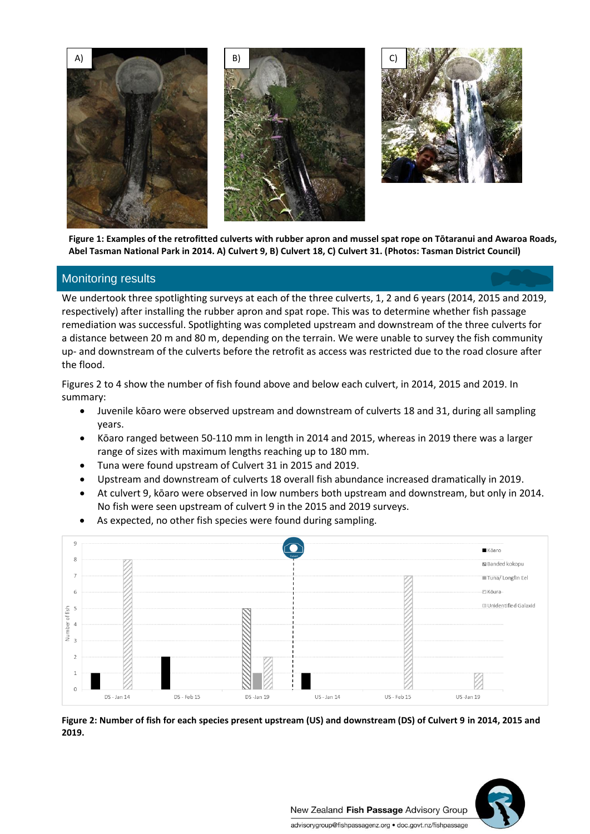



**Figure 1: Examples of the retrofitted culverts with rubber apron and mussel spat rope on Tōtaranui and Awaroa Roads, Abel Tasman National Park in 2014. A) Culvert 9, B) Culvert 18, C) Culvert 31. (Photos: Tasman District Council)**

# Monitoring results

We undertook three spotlighting surveys at each of the three culverts, 1, 2 and 6 years (2014, 2015 and 2019, respectively) after installing the rubber apron and spat rope. This was to determine whether fish passage remediation was successful. Spotlighting was completed upstream and downstream of the three culverts for a distance between 20 m and 80 m, depending on the terrain. We were unable to survey the fish community up- and downstream of the culverts before the retrofit as access was restricted due to the road closure after the flood.

Figures 2 to 4 show the number of fish found above and below each culvert, in 2014, 2015 and 2019. In summary:

- Juvenile kōaro were observed upstream and downstream of culverts 18 and 31, during all sampling years.
- Kōaro ranged between 50-110 mm in length in 2014 and 2015, whereas in 2019 there was a larger range of sizes with maximum lengths reaching up to 180 mm.
- Tuna were found upstream of Culvert 31 in 2015 and 2019.
- Upstream and downstream of culverts 18 overall fish abundance increased dramatically in 2019.
- At culvert 9, kōaro were observed in low numbers both upstream and downstream, but only in 2014. No fish were seen upstream of culvert 9 in the 2015 and 2019 surveys.
- As expected, no other fish species were found during sampling.



**Figure 2: Number of fish for each species present upstream (US) and downstream (DS) of Culvert 9 in 2014, 2015 and 2019.**

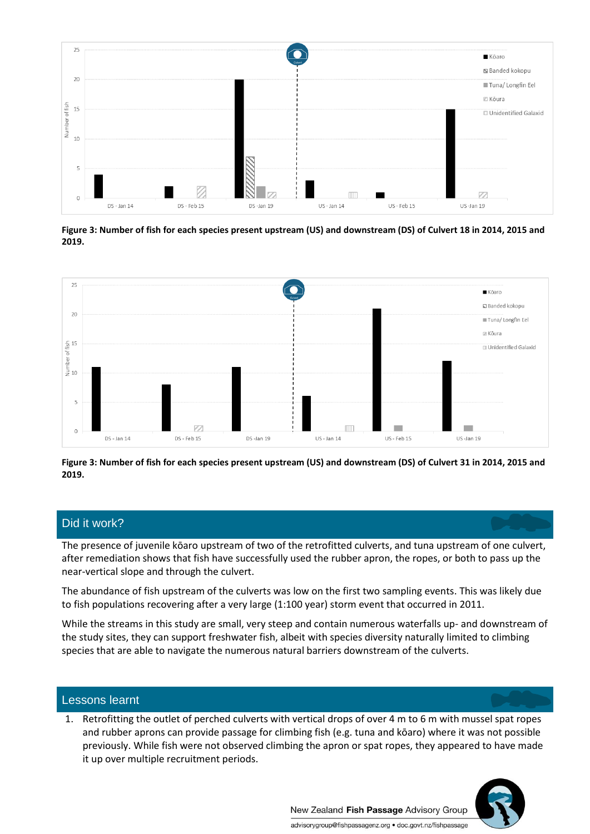

**Figure 3: Number of fish for each species present upstream (US) and downstream (DS) of Culvert 18 in 2014, 2015 and 2019.**



**Figure 3: Number of fish for each species present upstream (US) and downstream (DS) of Culvert 31 in 2014, 2015 and 2019.**

# Did it work?

The presence of juvenile kōaro upstream of two of the retrofitted culverts, and tuna upstream of one culvert, after remediation shows that fish have successfully used the rubber apron, the ropes, or both to pass up the near-vertical slope and through the culvert.

The abundance of fish upstream of the culverts was low on the first two sampling events. This was likely due to fish populations recovering after a very large (1:100 year) storm event that occurred in 2011.

While the streams in this study are small, very steep and contain numerous waterfalls up- and downstream of the study sites, they can support freshwater fish, albeit with species diversity naturally limited to climbing species that are able to navigate the numerous natural barriers downstream of the culverts.

## Lessons learnt

1. Retrofitting the outlet of perched culverts with vertical drops of over 4 m to 6 m with mussel spat ropes and rubber aprons can provide passage for climbing fish (e.g. tuna and kōaro) where it was not possible previously. While fish were not observed climbing the apron or spat ropes, they appeared to have made it up over multiple recruitment periods.



New Zealand Fish Passage Advisory Group advisorygroup@fishpassagenz.org · doc.govt.nz/fishpassage